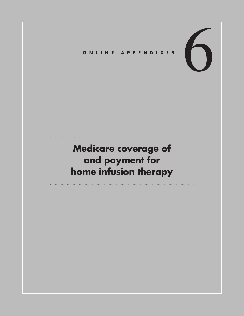6 **Online Appendixes**

# **Medicare coverage of and payment for home infusion therapy**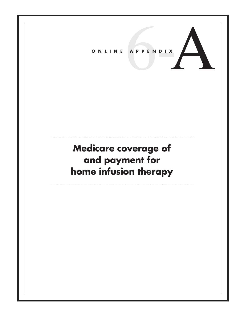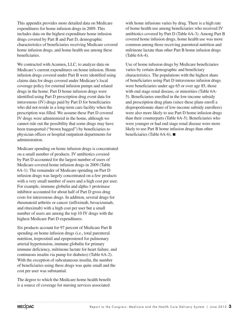This appendix provides more detailed data on Medicare expenditures for home infusion drugs in 2009. This includes data on the highest expenditure home infusion drugs covered by Part B and Part D, demographic characteristics of beneficiaries receiving Medicare covered home infusion drugs, and home health use among these beneficiaries.

We contracted with Acumen, LLC, to analyze data on Medicare's current expenditures on home infusion. Home infusion drugs covered under Part B were identified using claims data for drugs covered under Medicare's local coverage policy for external infusion pumps and related drugs in the home. Part D home infusion drugs were identified using Part D prescription drug event data for intravenous (IV) drugs paid by Part D for beneficiaries who did not reside in a long-term care facility when the prescription was filled. We assume these Part D covered IV drugs were administered in the home, although we cannot rule out the possibility that some drugs may have been transported ("brown bagged") by beneficiaries to physician offices or hospital outpatient departments for administration.

Medicare spending on home infusion drugs is concentrated on a small number of products. IV antibiotics covered by Part D accounted for the largest number of users of Medicare-covered home infusion drugs in 2009 (Table 6A-1). The remainder of Medicare spending on Part D infusion drugs was largely concentrated on a few products with a very small number of users and a high cost per user. For example, immune globulin and alpha-1 proteinase inhibitor accounted for about half of Part D gross drug costs for intravenous drugs. In addition, several drugs for rheumatoid arthritis or cancer (infliximab, bevacizumab, and rituximab) with a high cost per user but a small number of users are among the top 10 IV drugs with the highest Medicare Part D expenditures.

Six products account for 97 percent of Medicare Part B spending on home infusion drugs (i.e., total parenteral nutrition, treprostinil and epoprostenol for pulmonary arterial hypertension, immune globulin for primary immune deficiency, milrinone lactate for heart failure, and continuous insulin via pump for diabetes) (Table 6A-2). With the exception of subcutaneous insulin, the number of beneficiaries using these drugs was quite small and the cost per user was substantial.

The degree to which the Medicare home health benefit is a source of coverage for nursing services associated

with home infusions varies by drug. There is a high rate of home health use among beneficiaries who received IV antibiotics covered by Part D (Table 6A-3). Among Part B covered home infusion drugs, home health use was more common among those receiving parenteral nutrition and milrinone lactate than other Part B home infusion drugs (Table 6A-4).

Use of home infusion drugs by Medicare beneficiaries varies by certain demographic and beneficiary characteristics. The populations with the highest share of beneficiaries using Part D intravenous infusion drugs were beneficiaries under age 65 or over age 85, those with end stage renal disease, or minorities (Table 6A-5). Beneficiaries enrolled in the low-income subsidy and prescription drug plans (since these plans enroll a disproportionate share of low-income subsidy enrollees) were also more likely to use Part D home infusion drugs than their counterparts (Table 6A-5). Beneficiaries who were younger or had end stage renal disease were more likely to use Part B home infusion drugs than other beneficiaries (Table 6A-6). ■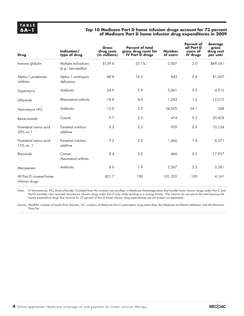### **6A–1 Top 10 Medicare Part D home infusion drugs account for 73 percent of Medicare Part D home infusion drug expenditures in 2009**

| <b>Drug</b>                               | Indication/<br>type of drug                | <b>Gross</b><br>drug costs<br>(in millions) | <b>Percent of total</b><br>gross drug costs for<br><b>IV Part D drugs</b> | <b>Number</b><br>of users | <b>Percent of</b><br>all Part D<br>users of<br><b>IV</b> drugs | <b>Average</b><br>gross<br>drug cost<br>per user |
|-------------------------------------------|--------------------------------------------|---------------------------------------------|---------------------------------------------------------------------------|---------------------------|----------------------------------------------------------------|--------------------------------------------------|
| Immune globulin                           | Multiple indications<br>(e.g., neuropathy) | \$139.6                                     | 33.1%                                                                     | 2,007                     | 2.0                                                            | \$69,541                                         |
| Alpha-1 proteinase<br>inhibitor           | Alpha 1-antitrypsin<br>deficiency          | 68.8                                        | 16.3                                                                      | 843                       | 0.8                                                            | 81,607                                           |
| Daptomycin                                | Antibiotic                                 | 24.9                                        | 5.9                                                                       | 5,061                     | 5.0                                                            | 4,912                                            |
| Infliximab                                | Rheumatoid arthritis                       | 16.8                                        | 4.0                                                                       | 1,243                     | 1.2                                                            | 13,515                                           |
| Vancomycin HCL                            | Antibiotic                                 | 12.0                                        | 2.9                                                                       | 34,595                    | 34.1                                                           | 348                                              |
| Bevacizumab                               | Cancer                                     | 9.7                                         | 2.3                                                                       | 474                       | 0.5                                                            | 20,428                                           |
| Parenteral amino acid<br>20% no.1         | Parentral nutrition<br>additive            | 9.5                                         | 2.3                                                                       | 939                       | 0.9                                                            | 10,124                                           |
| Parenteral amino acid<br>15% no. 1        | Parentral nutrition<br>additive            | 9.2                                         | 2.2                                                                       | 1,466                     | 1.4                                                            | 6,271                                            |
| Rituximab                                 | Cancer,<br>rheumatoid arthritis            | 8.4                                         | 2.0                                                                       | 466                       | 0.5                                                            | 17,937                                           |
| Meropenem                                 | Antibiotic                                 | 8.0                                         | 1.9                                                                       | 2,367                     | 2.3                                                            | 3,381                                            |
| All Part D covered home<br>infusion drugs |                                            | 421.7                                       | 100                                                                       | 101,352                   | 100                                                            | 4,161                                            |

Note: IV (intravenous), HCL (hydrochloride). Excluded from this analysis are enrollees in Medicare Advantage plans that bundle home infusion drugs under Part C and Part D enrollees who received intravenous infusion drugs under Part D only while residing in a nursing facility. The columns do not sum to the total because the lowest expenditure drugs that account for 27 percent of Part D home infusion drug expenditures are not broken out separately.

Source: MedPAC analysis of results from Acumen, LLC, analysis of Medicare Part D prescription drug event data, the Medicare enrollment database, and the Minimum Data Set.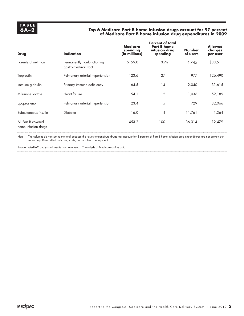### **6A–2 Top 6 Medicare Part B home infusion drugs account for 97 percent of Medicare Part B home infusion drug expenditures in 2009**

| Drug                                      | <b>Indication</b>                                    | <b>Medicare</b><br>spending<br>(in millions) | <b>Percent of total</b><br><b>Part B home</b><br>infusion drug<br>spending | <b>Number</b><br>of users | <b>Allowed</b><br>charges<br>per user |
|-------------------------------------------|------------------------------------------------------|----------------------------------------------|----------------------------------------------------------------------------|---------------------------|---------------------------------------|
| Parenteral nutrition                      | Permanently nonfunctioning<br>gastrointestinal tract | \$159.0                                      | 35%                                                                        | 4,745                     | \$33,511                              |
| Treprostinil                              | Pulmonary arterial hypertension                      | 123.6                                        | 27                                                                         | 977                       | 126,490                               |
| Immune globulin                           | Primary immune deficiency                            | 64.5                                         | 14                                                                         | 2,040                     | 31,615                                |
| Milrinone lactate                         | Heart failure                                        | 54.1                                         | 12                                                                         | 1,036                     | 52,189                                |
| Epoprostenol                              | Pulmonary arterial hypertension                      | 23.4                                         | 5                                                                          | 729                       | 32,066                                |
| Subcutaneous insulin                      | <b>Diabetes</b>                                      | 16.0                                         | $\overline{4}$                                                             | 11,761                    | 1,364                                 |
| All Part B covered<br>home infusion drugs |                                                      | 453.2                                        | 100                                                                        | 36,314                    | 12,479                                |

Note: The columns do not sum to the total because the lowest expenditure drugs that account for 3 percent of Part B home infusion drug expenditures are not broken out separately. Data reflect only drug costs, not supplies or equipment.

Source: MedPAC analysis of results from Acumen, LLC, analysis of Medicare claims data.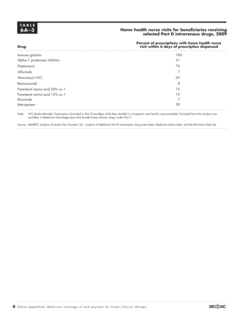# **TAB LE**

**Drug**

### **6A–3 Home health nurse visits for beneficiaries receiving selected Part D intravenous drugs, 2009**

#### **Percent of prescriptions with home health nurse visit within 6 days of prescription dispensed**

| Immune globulin                | 18% |  |
|--------------------------------|-----|--|
| Alpha-1 proteinase inhibitor   | 21  |  |
| Daptomycin                     | 76  |  |
| Infliximab                     |     |  |
| Vancomycin HCL                 | 63  |  |
| Bevacizumab                    | 8   |  |
| Parenteral amino acid 20% no.1 | 15  |  |
| Parenteral amino acid 15% no.1 | 19  |  |
| Rituximab                      |     |  |
| Meropenem                      | 59  |  |
|                                |     |  |

Note: HCL (hydrochloride). Prescriptions furnished to Part D enrollees while they resided in a long-term care facility were excluded. Excluded from this analysis are enrollees in Medicare Advantage plans that bundle home infusion drugs under Part C.

Source: MedPAC analysis of results from Acumen, LLC, analysis of Medicare Part D prescription drug event data, Medicare claims data, and the Minimum Data Set.

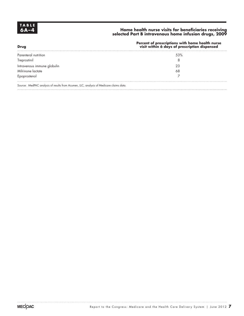# **TABLE**<br>6A-4

**Drug**

### **6A–4 Home health nurse visits for beneficiaries receiving selected Part B intravenous home infusion drugs, 2009**

#### **Percent of prescriptions with home health nurse visit within 6 days of prescription dispensed**

| Parenteral nutrition                                                                   | 53% |  |
|----------------------------------------------------------------------------------------|-----|--|
| Treprostinil                                                                           |     |  |
| Intravenous immune globulin                                                            | 23  |  |
| Milrinone lactate                                                                      | 68  |  |
| Epoprostenol                                                                           |     |  |
|                                                                                        |     |  |
| Source: MedPAC analysis of results from Acumen, LLC, analysis of Medicare claims data. |     |  |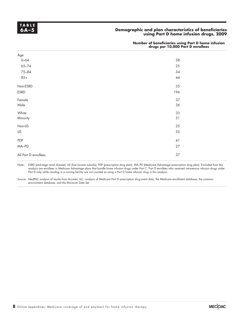

### **6A–5 Demographic and plan characteristics of beneficiaries using Part D home infusion drugs, 2009**

#### **Number of beneficiaries using Part D home infusion drugs per 10,000 Part D enrollees**

| Age<br>0–64          |      |
|----------------------|------|
|                      | 58   |
| $65 - 74$            | 25   |
| 75-84                | 34   |
| $85+$                | $44$ |
| Non-ESRD             | 35   |
| ESRD                 | 196  |
| Female               | 37   |
| Male                 | 36   |
| White                | 33   |
| Minority             | 51   |
| Non-LIS              | 25   |
| LIS                  | 55   |
| PDP                  | 41   |
| MA-PD                | 27   |
| All Part D enrollees | 37   |
|                      |      |

Note: ESRD (end-stage renal disease), LIS (low-income subsidy), PDP (prescription drug plan), MA–PD (Medicare Advantage–prescription drug plan). Excluded from this analysis are enrollees in Medicare Advantage plans that bundle home infusion drugs under Part C. Part D enrollees who received intravenous infusion drugs under Part D only while residing in a nursing facility are not counted as using a Part D home infusion drug in this analysis.

Source: MedPAC analysis of results from Acumen, LLC, analysis of Medicare Part D prescription drug event data, the Medicare enrollment database, the common environment database, and the Minimum Data Set.